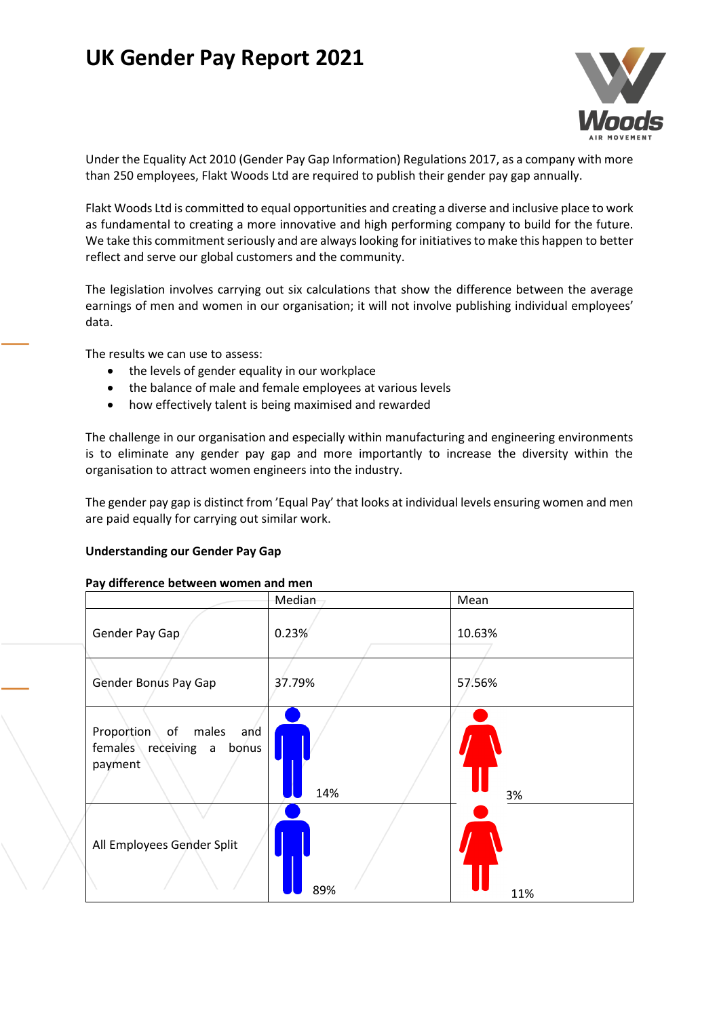# **UK Gender Pay Report 2021**



Under the Equality Act 2010 (Gender Pay Gap Information) Regulations 2017, as a company with more than 250 employees, Flakt Woods Ltd are required to publish their gender pay gap annually.

Flakt Woods Ltd is committed to equal opportunities and creating a diverse and inclusive place to work as fundamental to creating a more innovative and high performing company to build for the future. We take this commitment seriously and are always looking for initiatives to make this happen to better reflect and serve our global customers and the community.

The legislation involves carrying out six calculations that show the difference between the average earnings of men and women in our organisation; it will not involve publishing individual employees' data.

The results we can use to assess:

- the levels of gender equality in our workplace
- the balance of male and female employees at various levels
- how effectively talent is being maximised and rewarded

The challenge in our organisation and especially within manufacturing and engineering environments is to eliminate any gender pay gap and more importantly to increase the diversity within the organisation to attract women engineers into the industry.

The gender pay gap is distinct from 'Equal Pay' that looks at individual levels ensuring women and men are paid equally for carrying out similar work.

#### **Understanding our Gender Pay Gap**

#### **Pay difference between women and men**

|                                                                       | Median | Mean   |
|-----------------------------------------------------------------------|--------|--------|
| Gender Pay Gap                                                        | 0.23%  | 10.63% |
| Gender Bonus Pay Gap                                                  | 37.79% | 57.56% |
| Proportion of males<br>and<br>females receiving a<br>bonus<br>payment | 14%    | 3%     |
| All Employees Gender Split                                            | 89%    | 11%    |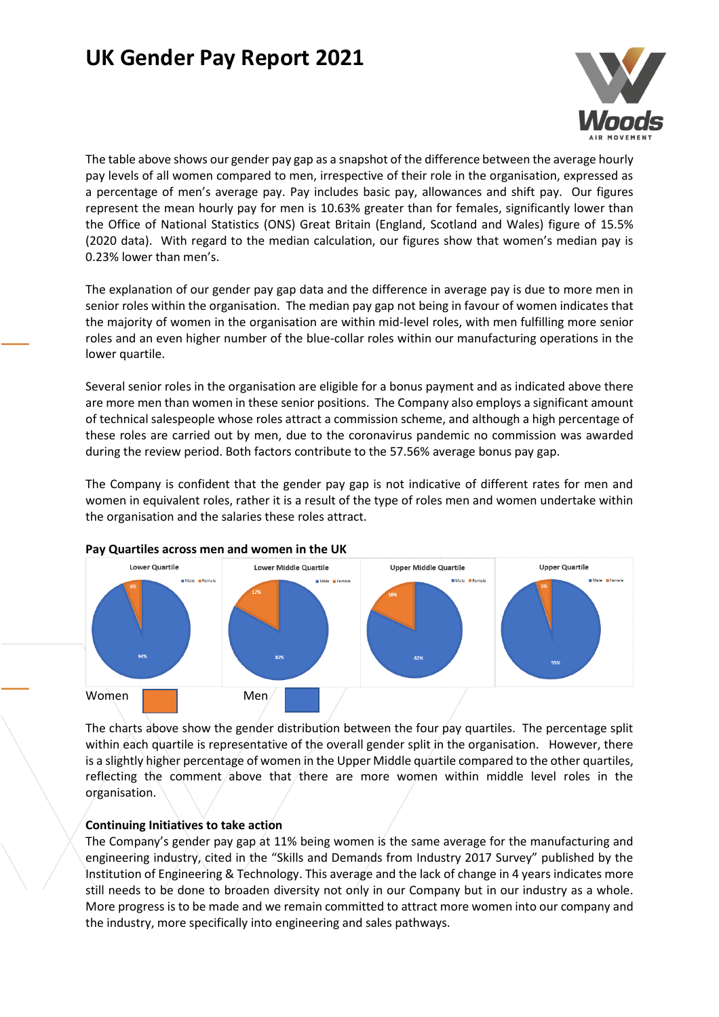## **UK Gender Pay Report 2021**



The table above shows our gender pay gap as a snapshot of the difference between the average hourly pay levels of all women compared to men, irrespective of their role in the organisation, expressed as a percentage of men's average pay. Pay includes basic pay, allowances and shift pay. Our figures represent the mean hourly pay for men is 10.63% greater than for females, significantly lower than the Office of National Statistics (ONS) Great Britain (England, Scotland and Wales) figure of 15.5% (2020 data). With regard to the median calculation, our figures show that women's median pay is 0.23% lower than men's.

The explanation of our gender pay gap data and the difference in average pay is due to more men in senior roles within the organisation. The median pay gap not being in favour of women indicates that the majority of women in the organisation are within mid-level roles, with men fulfilling more senior roles and an even higher number of the blue-collar roles within our manufacturing operations in the lower quartile.

Several senior roles in the organisation are eligible for a bonus payment and as indicated above there are more men than women in these senior positions. The Company also employs a significant amount of technical salespeople whose roles attract a commission scheme, and although a high percentage of these roles are carried out by men, due to the coronavirus pandemic no commission was awarded during the review period. Both factors contribute to the 57.56% average bonus pay gap.

The Company is confident that the gender pay gap is not indicative of different rates for men and women in equivalent roles, rather it is a result of the type of roles men and women undertake within the organisation and the salaries these roles attract.



#### **Pay Quartiles across men and women in the UK**

The charts above show the gender distribution between the four pay quartiles. The percentage split within each quartile is representative of the overall gender split in the organisation. However, there is a slightly higher percentage of women in the Upper Middle quartile compared to the other quartiles, reflecting the comment above that there are more women within middle level roles in the organisation.

### **Continuing Initiatives to take action**

The Company's gender pay gap at 11% being women is the same average for the manufacturing and engineering industry, cited in the "Skills and Demands from Industry 2017 Survey" published by the Institution of Engineering & Technology. This average and the lack of change in 4 years indicates more still needs to be done to broaden diversity not only in our Company but in our industry as a whole. More progress is to be made and we remain committed to attract more women into our company and the industry, more specifically into engineering and sales pathways.